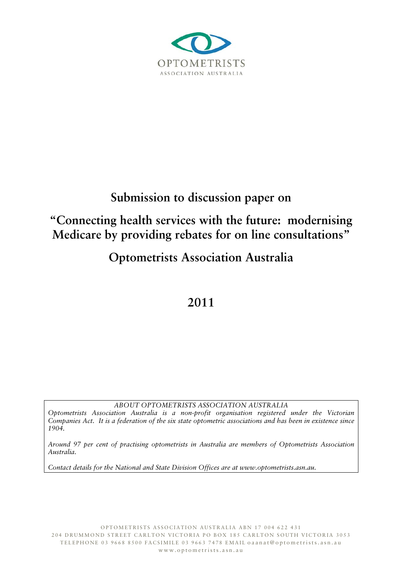

# **Submission to discussion paper on**

## **"Connecting health services with the future: modernising Medicare by providing rebates for on line consultations"**

## **Optometrists Association Australia**

## **2011**

*ABOUT OPTOMETRISTS ASSOCIATION AUSTRALIA* 

*Optometrists Association Australia is a non-profit organisation registered under the Victorian Companies Act. It is a federation of the six state optometric associations and has been in existence since 1904.* 

*Around 97 per cent of practising optometrists in Australia are members of Optometrists Association Australia.* 

*Contact details for the National and State Division Offices are at www.optometrists.asn.au.*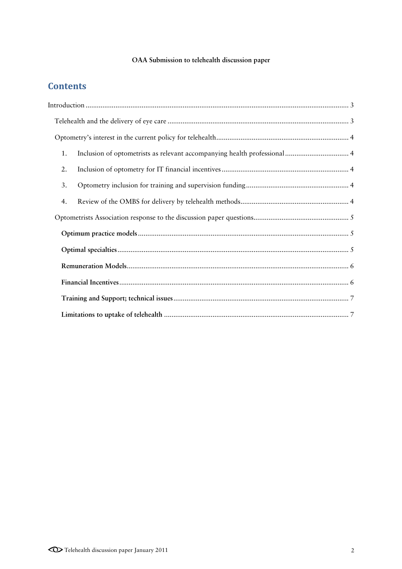### **OAA Submission to telehealth discussion paper**

### **Contents**

| 1. |  |  |
|----|--|--|
| 2. |  |  |
| 3. |  |  |
| 4. |  |  |
|    |  |  |
|    |  |  |
|    |  |  |
|    |  |  |
|    |  |  |
|    |  |  |
|    |  |  |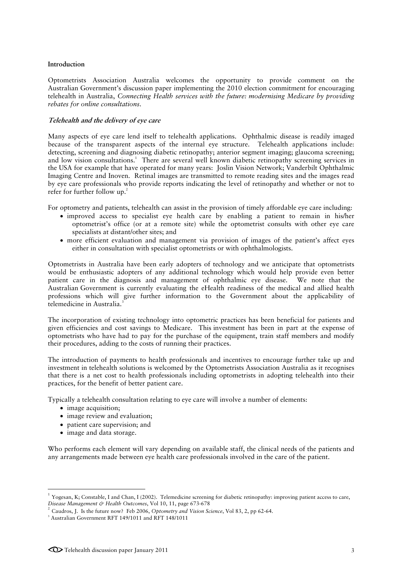#### **Introduction**

Optometrists Association Australia welcomes the opportunity to provide comment on the Australian Government's discussion paper implementing the 2010 election commitment for encouraging telehealth in Australia, *Connecting Health services with the future: modernising Medicare by providing rebates for online consultations*.

#### **Telehealth and the delivery of eye care**

Many aspects of eye care lend itself to telehealth applications. Ophthalmic disease is readily imaged because of the transparent aspects of the internal eye structure. Telehealth applications include: detecting, screening and diagnosing diabetic retinopathy; anterior segment imaging; glaucoma screening; and low vision consultations.<sup>1</sup> There are several well known diabetic retinopathy screening services in the USA for example that have operated for many years: Joslin Vision Network; Vanderbilt Ophthalmic Imaging Centre and Inoven. Retinal images are transmitted to remote reading sites and the images read by eye care professionals who provide reports indicating the level of retinopathy and whether or not to refer for further follow up.<sup>2</sup>

For optometry and patients, telehealth can assist in the provision of timely affordable eye care including:

- improved access to specialist eye health care by enabling a patient to remain in his/her optometrist's office (or at a remote site) while the optometrist consults with other eye care specialists at distant/other sites; and
- more efficient evaluation and management via provision of images of the patient's affect eyes either in consultation with specialist optometrists or with ophthalmologists.

Optometrists in Australia have been early adopters of technology and we anticipate that optometrists would be enthusiastic adopters of any additional technology which would help provide even better patient care in the diagnosis and management of ophthalmic eye disease. We note that the Australian Government is currently evaluating the eHealth readiness of the medical and allied health professions which will give further information to the Government about the applicability of telemedicine in Australia.<sup>3</sup>

The incorporation of existing technology into optometric practices has been beneficial for patients and given efficiencies and cost savings to Medicare. This investment has been in part at the expense of optometrists who have had to pay for the purchase of the equipment, train staff members and modify their procedures, adding to the costs of running their practices.

The introduction of payments to health professionals and incentives to encourage further take up and investment in telehealth solutions is welcomed by the Optometrists Association Australia as it recognises that there is a net cost to health professionals including optometrists in adopting telehealth into their practices, for the benefit of better patient care.

Typically a telehealth consultation relating to eye care will involve a number of elements:

• image acquisition:

1

- image review and evaluation;
- patient care supervision; and
- image and data storage.

Who performs each element will vary depending on available staff, the clinical needs of the patients and any arrangements made between eye health care professionals involved in the care of the patient.

<sup>&</sup>lt;sup>1</sup> Yogesan, K; Constable, I and Chan, I (2002). Telemedicine screening for diabetic retinopathy: improving patient access to care, *Disease Management & Health Outcomes*, Vol 10, 11, page 673-678

<sup>2</sup> Caudros, J. Is the future now? Feb 2006, *Optometry and Vision Science*, Vol 83, 2, pp 62-64. 3

<sup>&</sup>lt;sup>3</sup> Australian Government RFT 149/1011 and RFT 148/1011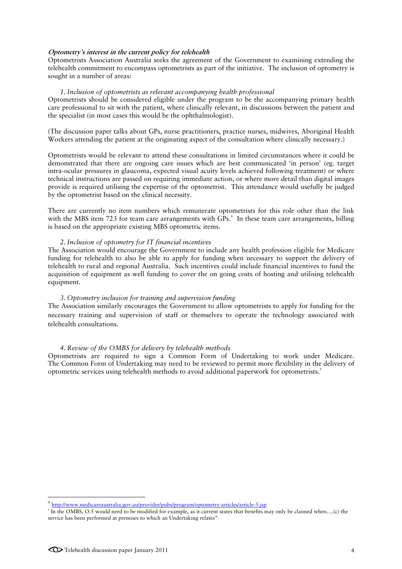#### **Optometry's interest in the current policy for telehealth**

Optometrists Association Australia seeks the agreement of the Government to examining extending the telehealth commitment to encompass optometrists as part of the initiative. The inclusion of optometry is sought in a number of areas:

#### *1. Inclusion of optometrists as relevant accompanying health professional*

Optometrists should be considered eligible under the program to be the accompanying primary health care professional to sit with the patient, where clinically relevant, in discussions between the patient and the specialist (in most cases this would be the ophthalmologist).

(The discussion paper talks about GPs, nurse practitioners, practice nurses, midwives, Aboriginal Health Workers attending the patient at the originating aspect of the consultation where clinically necessary.)

Optometrists would be relevant to attend these consultations in limited circumstances where it could be demonstrated that there are ongoing care issues which are best communicated 'in person' (eg. target intra-ocular pressures in glaucoma, expected visual acuity levels achieved following treatment) or where technical instructions are passed on requiring immediate action, or where more detail than digital images provide is required utilising the expertise of the optometrist. This attendance would usefully be judged by the optometrist based on the clinical necessity.

There are currently no item numbers which remunerate optometrists for this role other than the link with the MBS item 723 for team care arrangements with GPs.<sup>4</sup> In these team care arrangements, billing is based on the appropriate existing MBS optometric items.

#### *2. Inclusion of optometry for IT financial incentives*

The Association would encourage the Government to include any health profession eligible for Medicare funding for telehealth to also be able to apply for funding when necessary to support the delivery of telehealth to rural and regional Australia. Such incentives could include financial incentives to fund the acquisition of equipment as well funding to cover the on going costs of hosting and utilising telehealth equipment.

#### *3. Optometry inclusion for training and supervision funding*

The Association similarly encourages the Government to allow optometrists to apply for funding for the necessary training and supervision of staff or themselves to operate the technology associated with telehealth consultations.

#### *4. Review of the OMBS for delivery by telehealth methods*

Optometrists are required to sign a Common Form of Undertaking to work under Medicare. The Common Form of Undertaking may need to be reviewed to permit more flexibility in the delivery of optometric services using telehealth methods to avoid additional paperwork for optometrists.5

-

<sup>4</sup> http://www.medicareaustralia.gov.au/provider/pubs/program/optometry-articles/article-5.jsp 5

In the OMBS, O.5 would need to be modified for example, as it current states that benefits may only be claimed when....(c) the service has been performed at premises to which an Undertaking relates"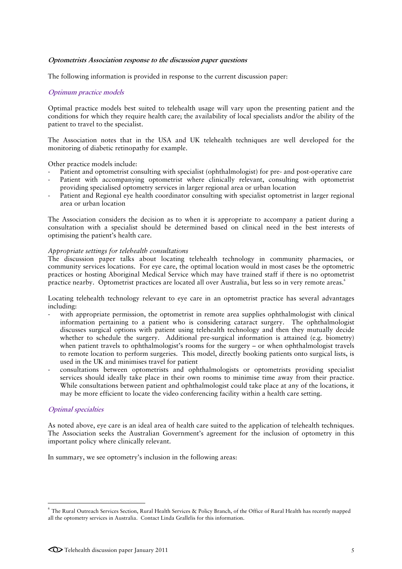#### **Optometrists Association response to the discussion paper questions**

The following information is provided in response to the current discussion paper:

#### **Optimum practice models**

Optimal practice models best suited to telehealth usage will vary upon the presenting patient and the conditions for which they require health care; the availability of local specialists and/or the ability of the patient to travel to the specialist.

The Association notes that in the USA and UK telehealth techniques are well developed for the monitoring of diabetic retinopathy for example.

Other practice models include:

- Patient and optometrist consulting with specialist (ophthalmologist) for pre- and post-operative care
- Patient with accompanying optometrist where clinically relevant, consulting with optometrist providing specialised optometry services in larger regional area or urban location
- Patient and Regional eye health coordinator consulting with specialist optometrist in larger regional area or urban location

The Association considers the decision as to when it is appropriate to accompany a patient during a consultation with a specialist should be determined based on clinical need in the best interests of optimising the patient's health care.

#### *Appropriate settings for telehealth consultations*

The discussion paper talks about locating telehealth technology in community pharmacies, or community services locations. For eye care, the optimal location would in most cases be the optometric practices or hosting Aboriginal Medical Service which may have trained staff if there is no optometrist practice nearby. Optometrist practices are located all over Australia, but less so in very remote areas.<sup>6</sup>

Locating telehealth technology relevant to eye care in an optometrist practice has several advantages including:

- with appropriate permission, the optometrist in remote area supplies ophthalmologist with clinical information pertaining to a patient who is considering cataract surgery. The ophthalmologist discusses surgical options with patient using telehealth technology and then they mutually decide whether to schedule the surgery. Additional pre-surgical information is attained (e.g. biometry) when patient travels to ophthalmologist's rooms for the surgery – or when ophthalmologist travels to remote location to perform surgeries. This model, directly booking patients onto surgical lists, is used in the UK and minimises travel for patient
- consultations between optometrists and ophthalmologists or optometrists providing specialist services should ideally take place in their own rooms to minimise time away from their practice. While consultations between patient and ophthalmologist could take place at any of the locations, it may be more efficient to locate the video conferencing facility within a health care setting.

#### **Optimal specialties**

-

As noted above, eye care is an ideal area of health care suited to the application of telehealth techniques. The Association seeks the Australian Government's agreement for the inclusion of optometry in this important policy where clinically relevant.

In summary, we see optometry's inclusion in the following areas:

 $^6$  The Rural Outreach Services Section, Rural Health Services & Policy Branch, of the Office of Rural Health has recently mapped all the optometry services in Australia. Contact Linda Grallelis for this information.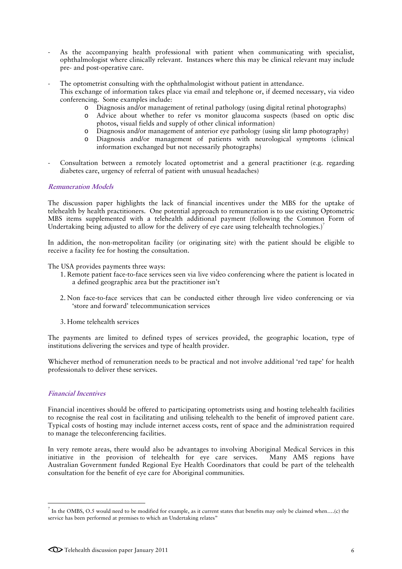- As the accompanying health professional with patient when communicating with specialist, ophthalmologist where clinically relevant. Instances where this may be clinical relevant may include pre- and post-operative care.
- The optometrist consulting with the ophthalmologist without patient in attendance.
	- This exchange of information takes place via email and telephone or, if deemed necessary, via video conferencing. Some examples include:
		- o Diagnosis and/or management of retinal pathology (using digital retinal photographs)
		- o Advice about whether to refer vs monitor glaucoma suspects (based on optic disc photos, visual fields and supply of other clinical information)
		- o Diagnosis and/or management of anterior eye pathology (using slit lamp photography)
		- o Diagnosis and/or management of patients with neurological symptoms (clinical information exchanged but not necessarily photographs)
- Consultation between a remotely located optometrist and a general practitioner (e.g. regarding diabetes care, urgency of referral of patient with unusual headaches)

#### **Remuneration Models**

The discussion paper highlights the lack of financial incentives under the MBS for the uptake of telehealth by health practitioners. One potential approach to remuneration is to use existing Optometric MBS items supplemented with a telehealth additional payment (following the Common Form of Undertaking being adjusted to allow for the delivery of eye care using telehealth technologies.)<sup>7</sup>

In addition, the non-metropolitan facility (or originating site) with the patient should be eligible to receive a facility fee for hosting the consultation.

The USA provides payments three ways:

- 1. Remote patient face-to-face services seen via live video conferencing where the patient is located in a defined geographic area but the practitioner isn't
- 2. Non face-to-face services that can be conducted either through live video conferencing or via 'store and forward' telecommunication services
- 3. Home telehealth services

The payments are limited to defined types of services provided, the geographic location, type of institutions delivering the services and type of health provider.

Whichever method of remuneration needs to be practical and not involve additional 'red tape' for health professionals to deliver these services.

#### **Financial Incentives**

-

Financial incentives should be offered to participating optometrists using and hosting telehealth facilities to recognise the real cost in facilitating and utilising telehealth to the benefit of improved patient care. Typical costs of hosting may include internet access costs, rent of space and the administration required to manage the teleconferencing facilities.

In very remote areas, there would also be advantages to involving Aboriginal Medical Services in this initiative in the provision of telehealth for eye care services. Many AMS regions have Australian Government funded Regional Eye Health Coordinators that could be part of the telehealth consultation for the benefit of eye care for Aboriginal communities.

<sup>7</sup> In the OMBS, O.5 would need to be modified for example, as it current states that benefits may only be claimed when….(c) the service has been performed at premises to which an Undertaking relates"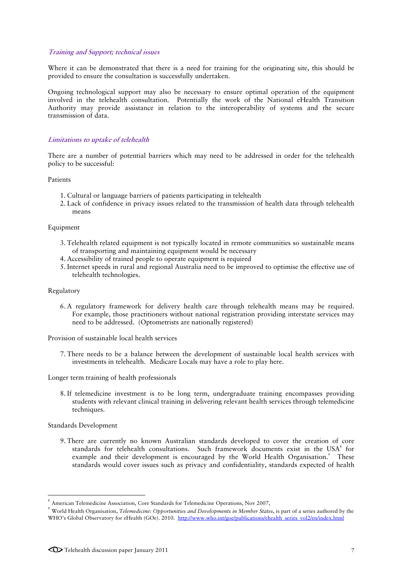#### **Training and Support; technical issues**

Where it can be demonstrated that there is a need for training for the originating site, this should be provided to ensure the consultation is successfully undertaken.

Ongoing technological support may also be necessary to ensure optimal operation of the equipment involved in the telehealth consultation. Potentially the work of the National eHealth Transition Authority may provide assistance in relation to the interoperability of systems and the secure transmission of data.

#### **Limitations to uptake of telehealth**

There are a number of potential barriers which may need to be addressed in order for the telehealth policy to be successful:

Patients

- 1. Cultural or language barriers of patients participating in telehealth
- 2. Lack of confidence in privacy issues related to the transmission of health data through telehealth means

#### Equipment

- 3. Telehealth related equipment is not typically located in remote communities so sustainable means of transporting and maintaining equipment would be necessary
- 4. Accessibility of trained people to operate equipment is required
- 5. Internet speeds in rural and regional Australia need to be improved to optimise the effective use of telehealth technologies.

#### Regulatory

6. A regulatory framework for delivery health care through telehealth means may be required. For example, those practitioners without national registration providing interstate services may need to be addressed. (Optometrists are nationally registered)

Provision of sustainable local health services

7. There needs to be a balance between the development of sustainable local health services with investments in telehealth. Medicare Locals may have a role to play here.

Longer term training of health professionals

8. If telemedicine investment is to be long term, undergraduate training encompasses providing students with relevant clinical training in delivering relevant health services through telemedicine techniques.

Standards Development

1

9. There are currently no known Australian standards developed to cover the creation of core standards for telehealth consultations. Such framework documents exist in the USA<sup>8</sup> for example and their development is encouraged by the World Health Organisation.<sup>9</sup> These standards would cover issues such as privacy and confidentiality, standards expected of health

<sup>&</sup>lt;sup>8</sup> American Telemedicine Association, Core Standards for Telemedicine Operations, Nov 2007,

<sup>9</sup> World Health Organisation, *Telemedicine: Opportunities and Developments in Member States*, is part of a series authored by the WHO's Global Observatory for eHealth (GOe). 2010. http://www.who.int/goe/publications/ehealth\_series\_vol2/en/index.html